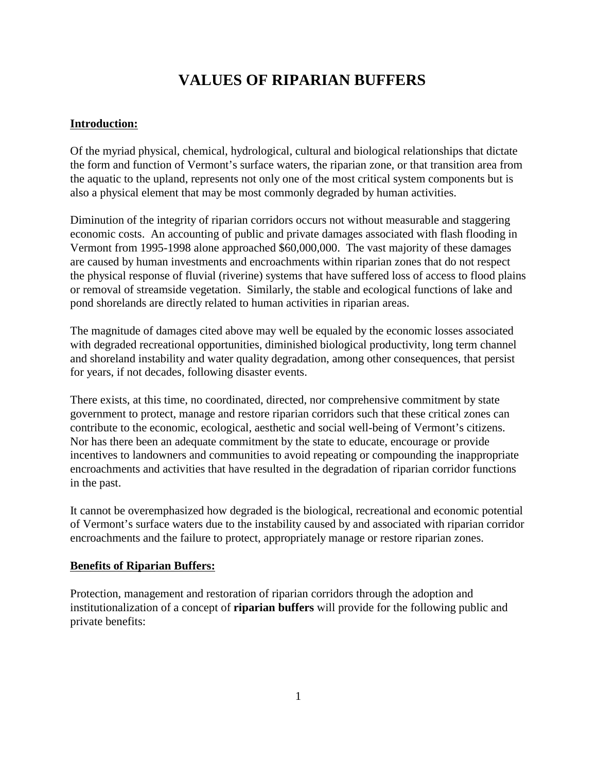# **VALUES OF RIPARIAN BUFFERS**

# **Introduction:**

Of the myriad physical, chemical, hydrological, cultural and biological relationships that dictate the form and function of Vermont's surface waters, the riparian zone, or that transition area from the aquatic to the upland, represents not only one of the most critical system components but is also a physical element that may be most commonly degraded by human activities.

Diminution of the integrity of riparian corridors occurs not without measurable and staggering economic costs. An accounting of public and private damages associated with flash flooding in Vermont from 1995-1998 alone approached \$60,000,000. The vast majority of these damages are caused by human investments and encroachments within riparian zones that do not respect the physical response of fluvial (riverine) systems that have suffered loss of access to flood plains or removal of streamside vegetation. Similarly, the stable and ecological functions of lake and pond shorelands are directly related to human activities in riparian areas.

The magnitude of damages cited above may well be equaled by the economic losses associated with degraded recreational opportunities, diminished biological productivity, long term channel and shoreland instability and water quality degradation, among other consequences, that persist for years, if not decades, following disaster events.

There exists, at this time, no coordinated, directed, nor comprehensive commitment by state government to protect, manage and restore riparian corridors such that these critical zones can contribute to the economic, ecological, aesthetic and social well-being of Vermont's citizens. Nor has there been an adequate commitment by the state to educate, encourage or provide incentives to landowners and communities to avoid repeating or compounding the inappropriate encroachments and activities that have resulted in the degradation of riparian corridor functions in the past.

It cannot be overemphasized how degraded is the biological, recreational and economic potential of Vermont's surface waters due to the instability caused by and associated with riparian corridor encroachments and the failure to protect, appropriately manage or restore riparian zones.

#### **Benefits of Riparian Buffers:**

Protection, management and restoration of riparian corridors through the adoption and institutionalization of a concept of **riparian buffers** will provide for the following public and private benefits: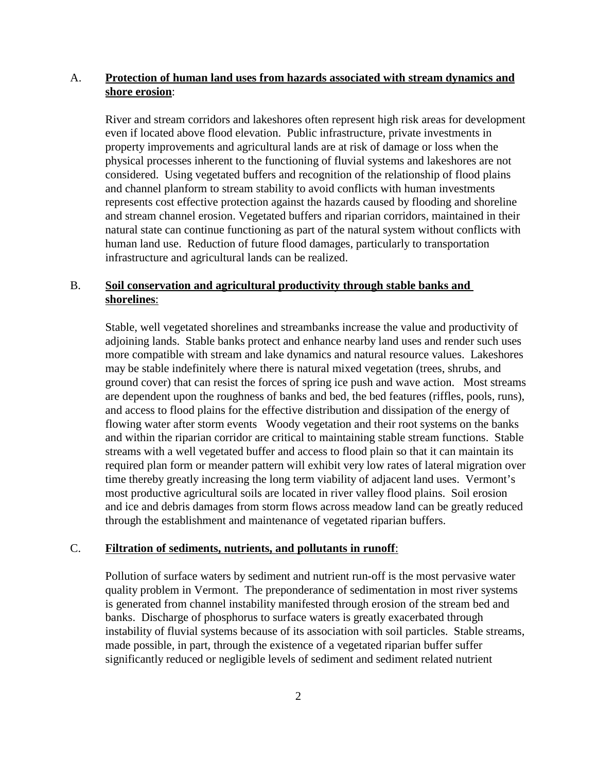# A. **Protection of human land uses from hazards associated with stream dynamics and shore erosion**:

River and stream corridors and lakeshores often represent high risk areas for development even if located above flood elevation. Public infrastructure, private investments in property improvements and agricultural lands are at risk of damage or loss when the physical processes inherent to the functioning of fluvial systems and lakeshores are not considered. Using vegetated buffers and recognition of the relationship of flood plains and channel planform to stream stability to avoid conflicts with human investments represents cost effective protection against the hazards caused by flooding and shoreline and stream channel erosion. Vegetated buffers and riparian corridors, maintained in their natural state can continue functioning as part of the natural system without conflicts with human land use. Reduction of future flood damages, particularly to transportation infrastructure and agricultural lands can be realized.

# B. **Soil conservation and agricultural productivity through stable banks and shorelines**:

Stable, well vegetated shorelines and streambanks increase the value and productivity of adjoining lands. Stable banks protect and enhance nearby land uses and render such uses more compatible with stream and lake dynamics and natural resource values. Lakeshores may be stable indefinitely where there is natural mixed vegetation (trees, shrubs, and ground cover) that can resist the forces of spring ice push and wave action. Most streams are dependent upon the roughness of banks and bed, the bed features (riffles, pools, runs), and access to flood plains for the effective distribution and dissipation of the energy of flowing water after storm events Woody vegetation and their root systems on the banks and within the riparian corridor are critical to maintaining stable stream functions. Stable streams with a well vegetated buffer and access to flood plain so that it can maintain its required plan form or meander pattern will exhibit very low rates of lateral migration over time thereby greatly increasing the long term viability of adjacent land uses. Vermont's most productive agricultural soils are located in river valley flood plains. Soil erosion and ice and debris damages from storm flows across meadow land can be greatly reduced through the establishment and maintenance of vegetated riparian buffers.

# C. **Filtration of sediments, nutrients, and pollutants in runoff**:

Pollution of surface waters by sediment and nutrient run-off is the most pervasive water quality problem in Vermont. The preponderance of sedimentation in most river systems is generated from channel instability manifested through erosion of the stream bed and banks. Discharge of phosphorus to surface waters is greatly exacerbated through instability of fluvial systems because of its association with soil particles. Stable streams, made possible, in part, through the existence of a vegetated riparian buffer suffer significantly reduced or negligible levels of sediment and sediment related nutrient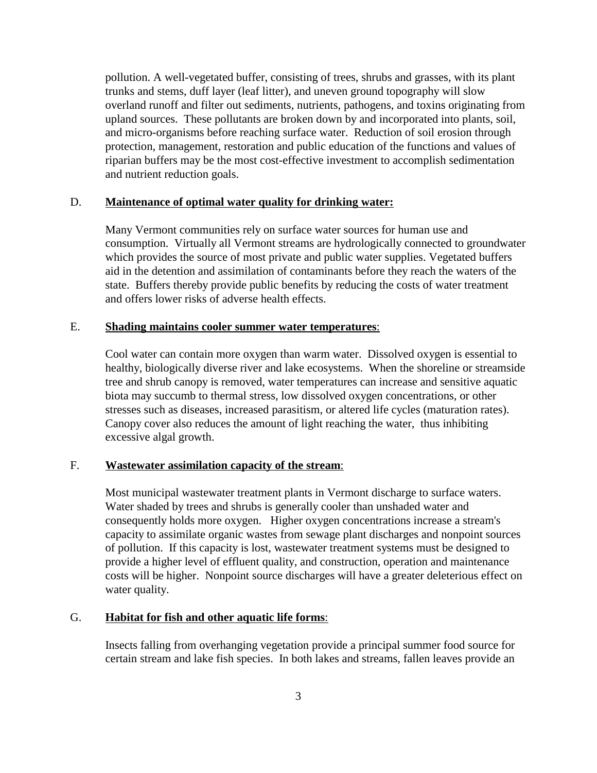pollution. A well-vegetated buffer, consisting of trees, shrubs and grasses, with its plant trunks and stems, duff layer (leaf litter), and uneven ground topography will slow overland runoff and filter out sediments, nutrients, pathogens, and toxins originating from upland sources. These pollutants are broken down by and incorporated into plants, soil, and micro-organisms before reaching surface water. Reduction of soil erosion through protection, management, restoration and public education of the functions and values of riparian buffers may be the most cost-effective investment to accomplish sedimentation and nutrient reduction goals.

#### D. **Maintenance of optimal water quality for drinking water:**

Many Vermont communities rely on surface water sources for human use and consumption. Virtually all Vermont streams are hydrologically connected to groundwater which provides the source of most private and public water supplies. Vegetated buffers aid in the detention and assimilation of contaminants before they reach the waters of the state. Buffers thereby provide public benefits by reducing the costs of water treatment and offers lower risks of adverse health effects.

#### E. **Shading maintains cooler summer water temperatures**:

Cool water can contain more oxygen than warm water. Dissolved oxygen is essential to healthy, biologically diverse river and lake ecosystems. When the shoreline or streamside tree and shrub canopy is removed, water temperatures can increase and sensitive aquatic biota may succumb to thermal stress, low dissolved oxygen concentrations, or other stresses such as diseases, increased parasitism, or altered life cycles (maturation rates). Canopy cover also reduces the amount of light reaching the water, thus inhibiting excessive algal growth.

# F. **Wastewater assimilation capacity of the stream**:

Most municipal wastewater treatment plants in Vermont discharge to surface waters. Water shaded by trees and shrubs is generally cooler than unshaded water and consequently holds more oxygen. Higher oxygen concentrations increase a stream's capacity to assimilate organic wastes from sewage plant discharges and nonpoint sources of pollution. If this capacity is lost, wastewater treatment systems must be designed to provide a higher level of effluent quality, and construction, operation and maintenance costs will be higher. Nonpoint source discharges will have a greater deleterious effect on water quality.

## G. **Habitat for fish and other aquatic life forms**:

Insects falling from overhanging vegetation provide a principal summer food source for certain stream and lake fish species. In both lakes and streams, fallen leaves provide an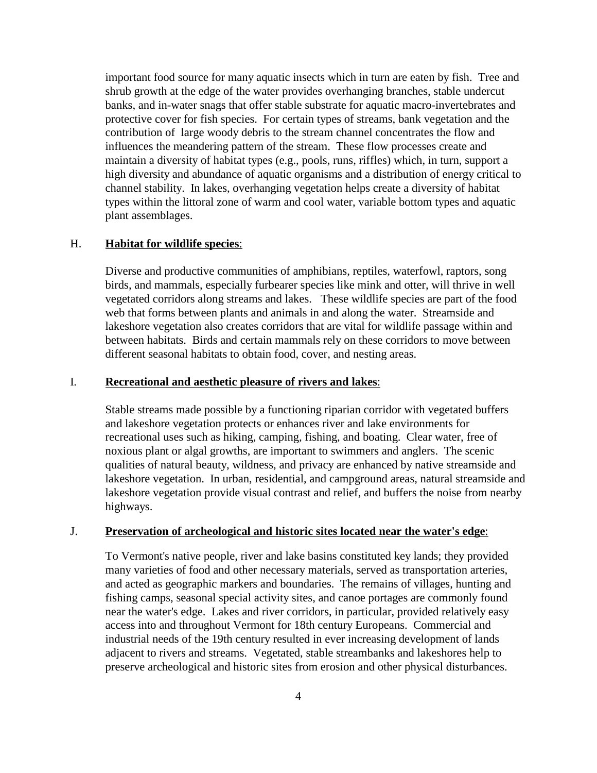important food source for many aquatic insects which in turn are eaten by fish. Tree and shrub growth at the edge of the water provides overhanging branches, stable undercut banks, and in-water snags that offer stable substrate for aquatic macro-invertebrates and protective cover for fish species. For certain types of streams, bank vegetation and the contribution of large woody debris to the stream channel concentrates the flow and influences the meandering pattern of the stream. These flow processes create and maintain a diversity of habitat types (e.g., pools, runs, riffles) which, in turn, support a high diversity and abundance of aquatic organisms and a distribution of energy critical to channel stability. In lakes, overhanging vegetation helps create a diversity of habitat types within the littoral zone of warm and cool water, variable bottom types and aquatic plant assemblages.

#### H. **Habitat for wildlife species**:

Diverse and productive communities of amphibians, reptiles, waterfowl, raptors, song birds, and mammals, especially furbearer species like mink and otter, will thrive in well vegetated corridors along streams and lakes. These wildlife species are part of the food web that forms between plants and animals in and along the water. Streamside and lakeshore vegetation also creates corridors that are vital for wildlife passage within and between habitats. Birds and certain mammals rely on these corridors to move between different seasonal habitats to obtain food, cover, and nesting areas.

#### I. **Recreational and aesthetic pleasure of rivers and lakes**:

Stable streams made possible by a functioning riparian corridor with vegetated buffers and lakeshore vegetation protects or enhances river and lake environments for recreational uses such as hiking, camping, fishing, and boating. Clear water, free of noxious plant or algal growths, are important to swimmers and anglers. The scenic qualities of natural beauty, wildness, and privacy are enhanced by native streamside and lakeshore vegetation. In urban, residential, and campground areas, natural streamside and lakeshore vegetation provide visual contrast and relief, and buffers the noise from nearby highways.

### J. **Preservation of archeological and historic sites located near the water's edge**:

To Vermont's native people, river and lake basins constituted key lands; they provided many varieties of food and other necessary materials, served as transportation arteries, and acted as geographic markers and boundaries. The remains of villages, hunting and fishing camps, seasonal special activity sites, and canoe portages are commonly found near the water's edge. Lakes and river corridors, in particular, provided relatively easy access into and throughout Vermont for 18th century Europeans. Commercial and industrial needs of the 19th century resulted in ever increasing development of lands adjacent to rivers and streams. Vegetated, stable streambanks and lakeshores help to preserve archeological and historic sites from erosion and other physical disturbances.